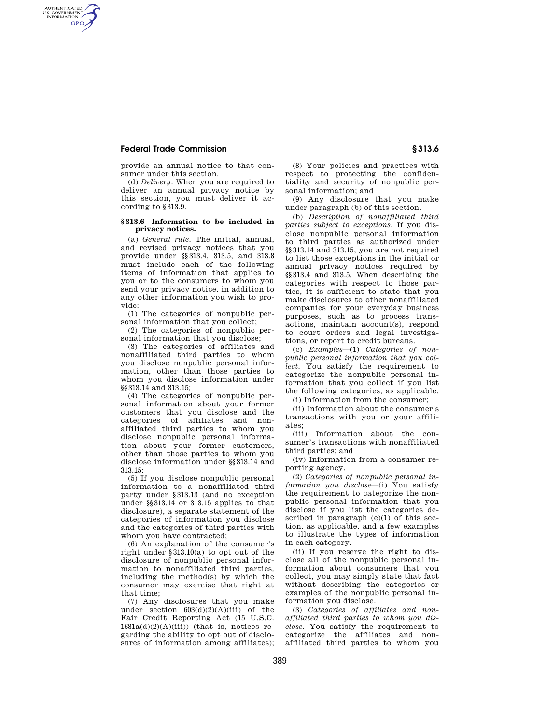## **Federal Trade Commission § 313.6**

AUTHENTICATED<br>U.S. GOVERNMENT<br>INFORMATION **GPO** 

> provide an annual notice to that consumer under this section.

> (d) *Delivery.* When you are required to deliver an annual privacy notice by this section, you must deliver it according to §313.9.

## **§ 313.6 Information to be included in privacy notices.**

(a) *General rule.* The initial, annual, and revised privacy notices that you provide under §§313.4, 313.5, and 313.8 must include each of the following items of information that applies to you or to the consumers to whom you send your privacy notice, in addition to any other information you wish to provide:

(1) The categories of nonpublic personal information that you collect;

(2) The categories of nonpublic personal information that you disclose;

(3) The categories of affiliates and nonaffiliated third parties to whom you disclose nonpublic personal information, other than those parties to whom you disclose information under §§313.14 and 313.15;

(4) The categories of nonpublic personal information about your former customers that you disclose and the categories of affiliates and nonaffiliated third parties to whom you disclose nonpublic personal information about your former customers, other than those parties to whom you disclose information under §§313.14 and 313.15;

(5) If you disclose nonpublic personal information to a nonaffiliated third party under §313.13 (and no exception under §§313.14 or 313.15 applies to that disclosure), a separate statement of the categories of information you disclose and the categories of third parties with whom you have contracted;

(6) An explanation of the consumer's right under §313.10(a) to opt out of the disclosure of nonpublic personal information to nonaffiliated third parties, including the method(s) by which the consumer may exercise that right at that time;

(7) Any disclosures that you make under section  $603(d)(2)(A)(iii)$  of the Fair Credit Reporting Act (15 U.S.C.  $1681a(d)(2)(A)(iii)$  (that is, notices regarding the ability to opt out of disclosures of information among affiliates);

(8) Your policies and practices with respect to protecting the confidentiality and security of nonpublic personal information; and

(9) Any disclosure that you make under paragraph (b) of this section.

(b) *Description of nonaffiliated third parties subject to exceptions.* If you disclose nonpublic personal information to third parties as authorized under §§313.14 and 313.15, you are not required to list those exceptions in the initial or annual privacy notices required by §§313.4 and 313.5. When describing the categories with respect to those parties, it is sufficient to state that you make disclosures to other nonaffiliated companies for your everyday business purposes, such as to process transactions, maintain account(s), respond to court orders and legal investigations, or report to credit bureaus.

(c) *Examples*—(1) *Categories of nonpublic personal information that you collect.* You satisfy the requirement to categorize the nonpublic personal information that you collect if you list the following categories, as applicable:

(i) Information from the consumer;

(ii) Information about the consumer's transactions with you or your affiliates;

(iii) Information about the consumer's transactions with nonaffiliated third parties; and

(iv) Information from a consumer reporting agency.

(2) *Categories of nonpublic personal information you disclose*—(i) You satisfy the requirement to categorize the nonpublic personal information that you disclose if you list the categories described in paragraph (e)(1) of this section, as applicable, and a few examples to illustrate the types of information in each category.

(ii) If you reserve the right to disclose all of the nonpublic personal information about consumers that you collect, you may simply state that fact without describing the categories or examples of the nonpublic personal information you disclose.

(3) *Categories of affiliates and nonaffiliated third parties to whom you disclose.* You satisfy the requirement to categorize the affiliates and nonaffiliated third parties to whom you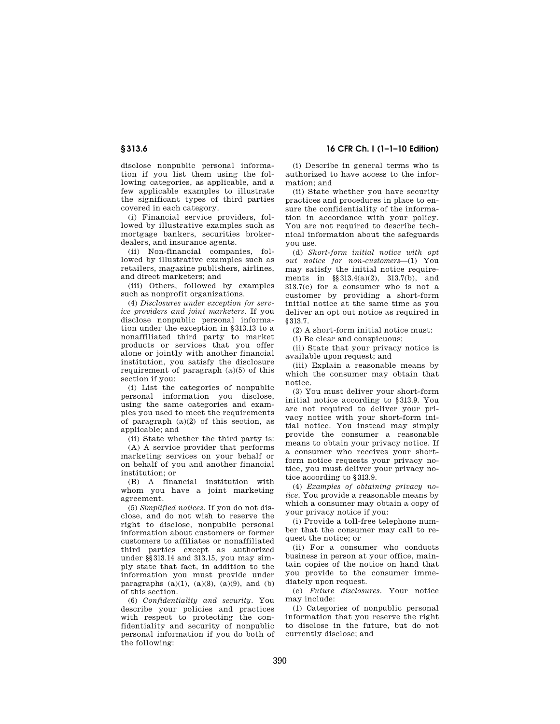disclose nonpublic personal information if you list them using the following categories, as applicable, and a few applicable examples to illustrate the significant types of third parties covered in each category.

(i) Financial service providers, followed by illustrative examples such as mortgage bankers, securities brokerdealers, and insurance agents.

(ii) Non-financial companies, followed by illustrative examples such as retailers, magazine publishers, airlines, and direct marketers; and

(iii) Others, followed by examples such as nonprofit organizations.

(4) *Disclosures under exception for service providers and joint marketers.* If you disclose nonpublic personal information under the exception in §313.13 to a nonaffiliated third party to market products or services that you offer alone or jointly with another financial institution, you satisfy the disclosure requirement of paragraph (a)(5) of this section if you:

(i) List the categories of nonpublic personal information you disclose, using the same categories and examples you used to meet the requirements of paragraph  $(a)(2)$  of this section, as applicable; and

(ii) State whether the third party is:

(A) A service provider that performs marketing services on your behalf or on behalf of you and another financial institution; or

(B) A financial institution with whom you have a joint marketing agreement.

(5) *Simplified notices.* If you do not disclose, and do not wish to reserve the right to disclose, nonpublic personal information about customers or former customers to affiliates or nonaffiliated third parties except as authorized under §§313.14 and 313.15, you may simply state that fact, in addition to the information you must provide under paragraphs  $(a)(1)$ ,  $(a)(8)$ ,  $(a)(9)$ , and  $(b)$ of this section.

(6) *Confidentiality and security.* You describe your policies and practices with respect to protecting the confidentiality and security of nonpublic personal information if you do both of the following:

(i) Describe in general terms who is authorized to have access to the information; and

(ii) State whether you have security practices and procedures in place to ensure the confidentiality of the information in accordance with your policy. You are not required to describe technical information about the safeguards you use.

(d) *Short-form initial notice with opt out notice for non-customers*—(1) You may satisfy the initial notice requirements in §§313.4(a)(2), 313.7(b), and 313.7(c) for a consumer who is not a customer by providing a short-form initial notice at the same time as you deliver an opt out notice as required in §313.7.

(2) A short-form initial notice must:

(i) Be clear and conspicuous;

(ii) State that your privacy notice is available upon request; and

(iii) Explain a reasonable means by which the consumer may obtain that notice.

(3) You must deliver your short-form initial notice according to §313.9. You are not required to deliver your privacy notice with your short-form initial notice. You instead may simply provide the consumer a reasonable means to obtain your privacy notice. If a consumer who receives your shortform notice requests your privacy notice, you must deliver your privacy notice according to §313.9.

(4) *Examples of obtaining privacy notice.* You provide a reasonable means by which a consumer may obtain a copy of your privacy notice if you:

(i) Provide a toll-free telephone number that the consumer may call to request the notice; or

(ii) For a consumer who conducts business in person at your office, maintain copies of the notice on hand that you provide to the consumer immediately upon request.

(e) *Future disclosures.* Your notice may include:

(1) Categories of nonpublic personal information that you reserve the right to disclose in the future, but do not currently disclose; and